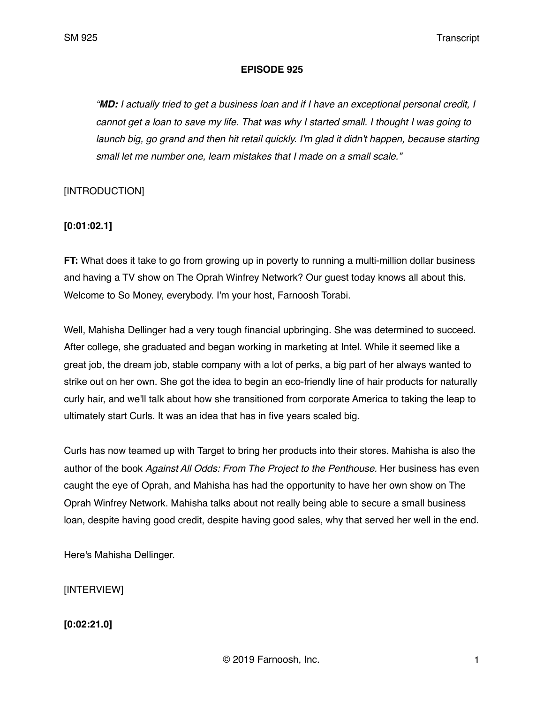### **EPISODE 925**

*"MD: I actually tried to get a business loan and if I have an exceptional personal credit, I cannot get a loan to save my life. That was why I started small. I thought I was going to launch big, go grand and then hit retail quickly. I'm glad it didn't happen, because starting small let me number one, learn mistakes that I made on a small scale."*

## [INTRODUCTION]

## **[0:01:02.1]**

**FT:** What does it take to go from growing up in poverty to running a multi-million dollar business and having a TV show on The Oprah Winfrey Network? Our guest today knows all about this. Welcome to So Money, everybody. I'm your host, Farnoosh Torabi.

Well, Mahisha Dellinger had a very tough financial upbringing. She was determined to succeed. After college, she graduated and began working in marketing at Intel. While it seemed like a great job, the dream job, stable company with a lot of perks, a big part of her always wanted to strike out on her own. She got the idea to begin an eco-friendly line of hair products for naturally curly hair, and we'll talk about how she transitioned from corporate America to taking the leap to ultimately start Curls. It was an idea that has in five years scaled big.

Curls has now teamed up with Target to bring her products into their stores. Mahisha is also the author of the book *Against All Odds: From The Project to the Penthouse.* Her business has even caught the eye of Oprah, and Mahisha has had the opportunity to have her own show on The Oprah Winfrey Network. Mahisha talks about not really being able to secure a small business loan, despite having good credit, despite having good sales, why that served her well in the end.

Here's Mahisha Dellinger.

[INTERVIEW]

**[0:02:21.0]**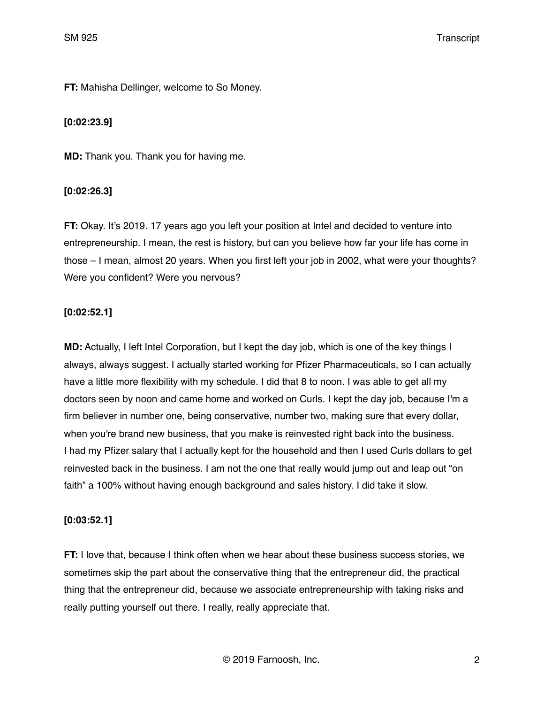**FT:** Mahisha Dellinger, welcome to So Money.

## **[0:02:23.9]**

**MD:** Thank you. Thank you for having me.

## **[0:02:26.3]**

**FT:** Okay. It's 2019. 17 years ago you left your position at Intel and decided to venture into entrepreneurship. I mean, the rest is history, but can you believe how far your life has come in those – I mean, almost 20 years. When you first left your job in 2002, what were your thoughts? Were you confident? Were you nervous?

### **[0:02:52.1]**

**MD:** Actually, I left Intel Corporation, but I kept the day job, which is one of the key things I always, always suggest. I actually started working for Pfizer Pharmaceuticals, so I can actually have a little more flexibility with my schedule. I did that 8 to noon. I was able to get all my doctors seen by noon and came home and worked on Curls. I kept the day job, because I'm a firm believer in number one, being conservative, number two, making sure that every dollar, when you're brand new business, that you make is reinvested right back into the business. I had my Pfizer salary that I actually kept for the household and then I used Curls dollars to get reinvested back in the business. I am not the one that really would jump out and leap out "on faith" a 100% without having enough background and sales history. I did take it slow.

### **[0:03:52.1]**

**FT:** I love that, because I think often when we hear about these business success stories, we sometimes skip the part about the conservative thing that the entrepreneur did, the practical thing that the entrepreneur did, because we associate entrepreneurship with taking risks and really putting yourself out there. I really, really appreciate that.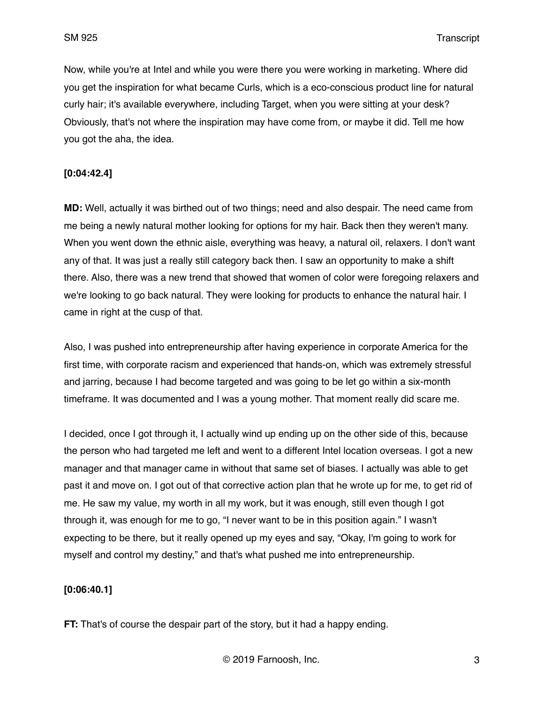Now, while you're at Intel and while you were there you were working in marketing. Where did you get the inspiration for what became Curls, which is a eco-conscious product line for natural curly hair; it's available everywhere, including Target, when you were sitting at your desk? Obviously, that's not where the inspiration may have come from, or maybe it did. Tell me how you got the aha, the idea.

### **[0:04:42.4]**

**MD:** Well, actually it was birthed out of two things; need and also despair. The need came from me being a newly natural mother looking for options for my hair. Back then they weren't many. When you went down the ethnic aisle, everything was heavy, a natural oil, relaxers. I don't want any of that. It was just a really still category back then. I saw an opportunity to make a shift there. Also, there was a new trend that showed that women of color were foregoing relaxers and we're looking to go back natural. They were looking for products to enhance the natural hair. I came in right at the cusp of that.

Also, I was pushed into entrepreneurship after having experience in corporate America for the first time, with corporate racism and experienced that hands-on, which was extremely stressful and jarring, because I had become targeted and was going to be let go within a six-month timeframe. It was documented and I was a young mother. That moment really did scare me.

I decided, once I got through it, I actually wind up ending up on the other side of this, because the person who had targeted me left and went to a different Intel location overseas. I got a new manager and that manager came in without that same set of biases. I actually was able to get past it and move on. I got out of that corrective action plan that he wrote up for me, to get rid of me. He saw my value, my worth in all my work, but it was enough, still even though I got through it, was enough for me to go, "I never want to be in this position again." I wasn't expecting to be there, but it really opened up my eyes and say, "Okay, I'm going to work for myself and control my destiny," and that's what pushed me into entrepreneurship.

### **[0:06:40.1]**

**FT:** That's of course the despair part of the story, but it had a happy ending.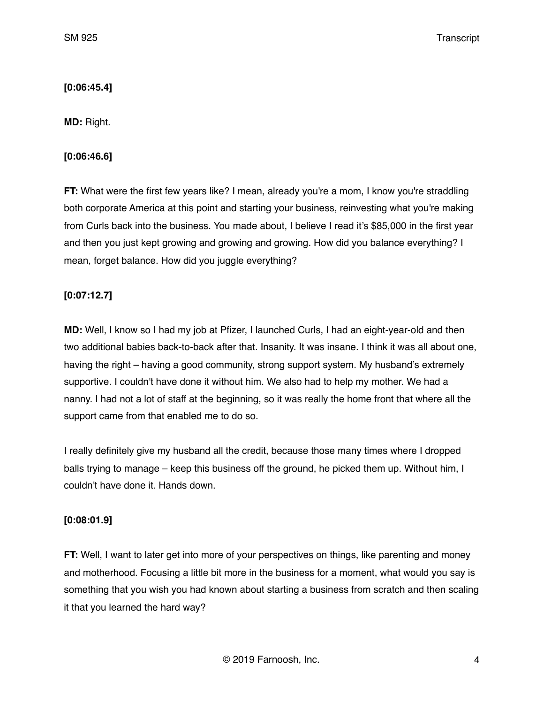## **[0:06:45.4]**

**MD:** Right.

## **[0:06:46.6]**

**FT:** What were the first few years like? I mean, already you're a mom, I know you're straddling both corporate America at this point and starting your business, reinvesting what you're making from Curls back into the business. You made about, I believe I read it's \$85,000 in the first year and then you just kept growing and growing and growing. How did you balance everything? I mean, forget balance. How did you juggle everything?

# **[0:07:12.7]**

**MD:** Well, I know so I had my job at Pfizer, I launched Curls, I had an eight-year-old and then two additional babies back-to-back after that. Insanity. It was insane. I think it was all about one, having the right – having a good community, strong support system. My husband's extremely supportive. I couldn't have done it without him. We also had to help my mother. We had a nanny. I had not a lot of staff at the beginning, so it was really the home front that where all the support came from that enabled me to do so.

I really definitely give my husband all the credit, because those many times where I dropped balls trying to manage – keep this business off the ground, he picked them up. Without him, I couldn't have done it. Hands down.

# **[0:08:01.9]**

**FT:** Well, I want to later get into more of your perspectives on things, like parenting and money and motherhood. Focusing a little bit more in the business for a moment, what would you say is something that you wish you had known about starting a business from scratch and then scaling it that you learned the hard way?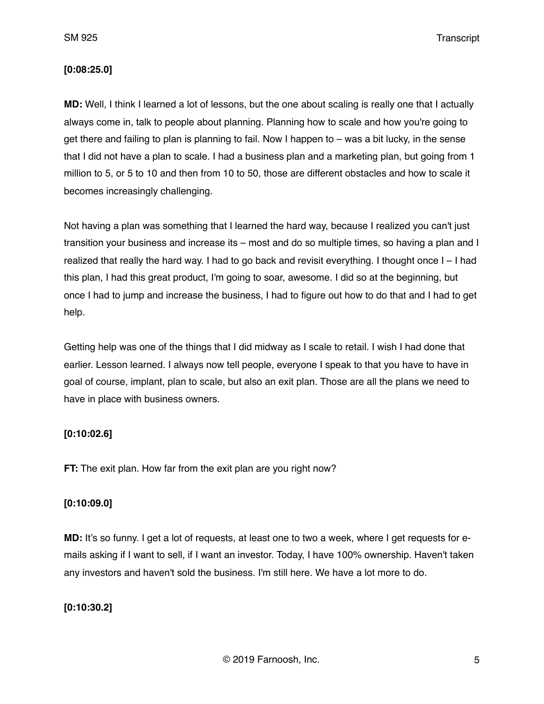SM 925 Transcript

### **[0:08:25.0]**

**MD:** Well, I think I learned a lot of lessons, but the one about scaling is really one that I actually always come in, talk to people about planning. Planning how to scale and how you're going to get there and failing to plan is planning to fail. Now I happen to – was a bit lucky, in the sense that I did not have a plan to scale. I had a business plan and a marketing plan, but going from 1 million to 5, or 5 to 10 and then from 10 to 50, those are different obstacles and how to scale it becomes increasingly challenging.

Not having a plan was something that I learned the hard way, because I realized you can't just transition your business and increase its – most and do so multiple times, so having a plan and I realized that really the hard way. I had to go back and revisit everything. I thought once I – I had this plan, I had this great product, I'm going to soar, awesome. I did so at the beginning, but once I had to jump and increase the business, I had to figure out how to do that and I had to get help.

Getting help was one of the things that I did midway as I scale to retail. I wish I had done that earlier. Lesson learned. I always now tell people, everyone I speak to that you have to have in goal of course, implant, plan to scale, but also an exit plan. Those are all the plans we need to have in place with business owners.

### **[0:10:02.6]**

**FT:** The exit plan. How far from the exit plan are you right now?

## **[0:10:09.0]**

**MD:** It's so funny. I get a lot of requests, at least one to two a week, where I get requests for emails asking if I want to sell, if I want an investor. Today, I have 100% ownership. Haven't taken any investors and haven't sold the business. I'm still here. We have a lot more to do.

## **[0:10:30.2]**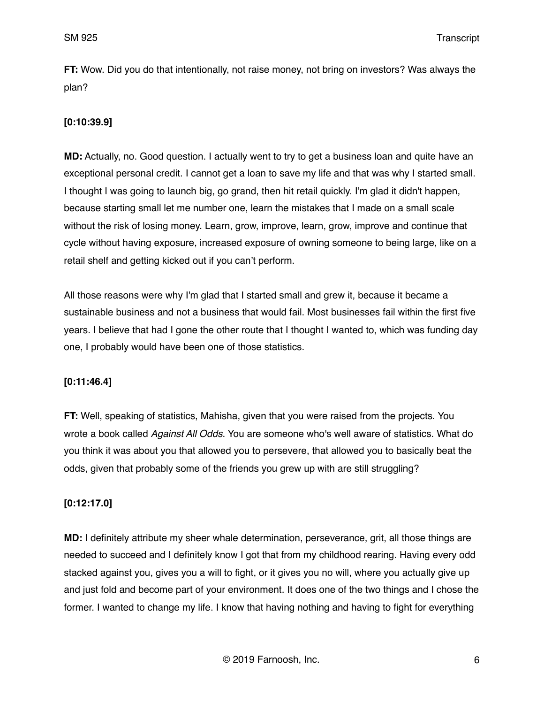**FT:** Wow. Did you do that intentionally, not raise money, not bring on investors? Was always the plan?

## **[0:10:39.9]**

**MD:** Actually, no. Good question. I actually went to try to get a business loan and quite have an exceptional personal credit. I cannot get a loan to save my life and that was why I started small. I thought I was going to launch big, go grand, then hit retail quickly. I'm glad it didn't happen, because starting small let me number one, learn the mistakes that I made on a small scale without the risk of losing money. Learn, grow, improve, learn, grow, improve and continue that cycle without having exposure, increased exposure of owning someone to being large, like on a retail shelf and getting kicked out if you can't perform.

All those reasons were why I'm glad that I started small and grew it, because it became a sustainable business and not a business that would fail. Most businesses fail within the first five years. I believe that had I gone the other route that I thought I wanted to, which was funding day one, I probably would have been one of those statistics.

## **[0:11:46.4]**

**FT:** Well, speaking of statistics, Mahisha, given that you were raised from the projects. You wrote a book called *Against All Odds*. You are someone who's well aware of statistics. What do you think it was about you that allowed you to persevere, that allowed you to basically beat the odds, given that probably some of the friends you grew up with are still struggling?

## **[0:12:17.0]**

**MD:** I definitely attribute my sheer whale determination, perseverance, grit, all those things are needed to succeed and I definitely know I got that from my childhood rearing. Having every odd stacked against you, gives you a will to fight, or it gives you no will, where you actually give up and just fold and become part of your environment. It does one of the two things and I chose the former. I wanted to change my life. I know that having nothing and having to fight for everything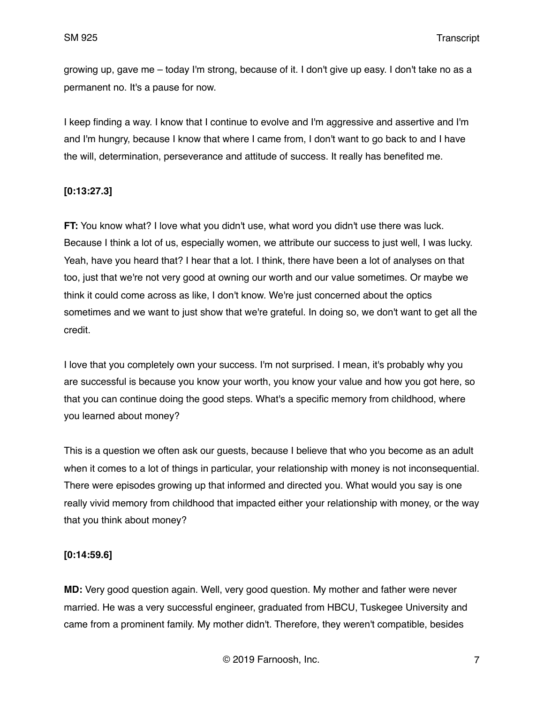growing up, gave me – today I'm strong, because of it. I don't give up easy. I don't take no as a permanent no. It's a pause for now.

I keep finding a way. I know that I continue to evolve and I'm aggressive and assertive and I'm and I'm hungry, because I know that where I came from, I don't want to go back to and I have the will, determination, perseverance and attitude of success. It really has benefited me.

### **[0:13:27.3]**

**FT:** You know what? I love what you didn't use, what word you didn't use there was luck. Because I think a lot of us, especially women, we attribute our success to just well, I was lucky. Yeah, have you heard that? I hear that a lot. I think, there have been a lot of analyses on that too, just that we're not very good at owning our worth and our value sometimes. Or maybe we think it could come across as like, I don't know. We're just concerned about the optics sometimes and we want to just show that we're grateful. In doing so, we don't want to get all the credit.

I love that you completely own your success. I'm not surprised. I mean, it's probably why you are successful is because you know your worth, you know your value and how you got here, so that you can continue doing the good steps. What's a specific memory from childhood, where you learned about money?

This is a question we often ask our guests, because I believe that who you become as an adult when it comes to a lot of things in particular, your relationship with money is not inconsequential. There were episodes growing up that informed and directed you. What would you say is one really vivid memory from childhood that impacted either your relationship with money, or the way that you think about money?

### **[0:14:59.6]**

**MD:** Very good question again. Well, very good question. My mother and father were never married. He was a very successful engineer, graduated from HBCU, Tuskegee University and came from a prominent family. My mother didn't. Therefore, they weren't compatible, besides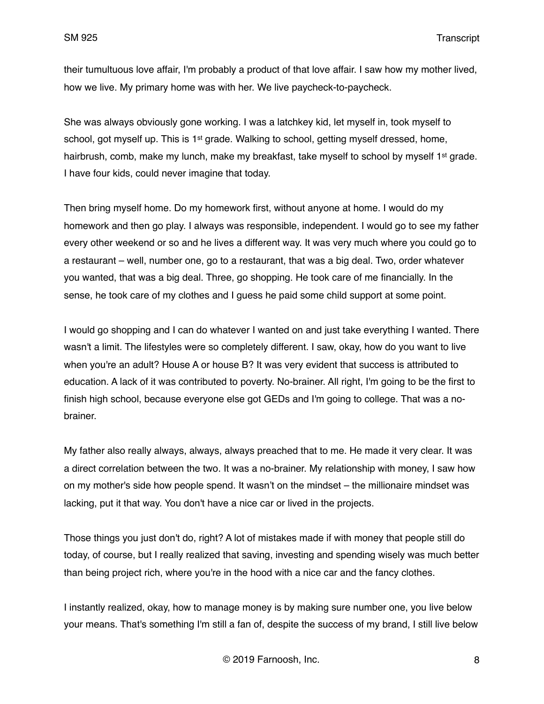their tumultuous love affair, I'm probably a product of that love affair. I saw how my mother lived, how we live. My primary home was with her. We live paycheck-to-paycheck.

She was always obviously gone working. I was a latchkey kid, let myself in, took myself to school, got myself up. This is  $1<sup>st</sup>$  grade. Walking to school, getting myself dressed, home, hairbrush, comb, make my lunch, make my breakfast, take myself to school by myself 1<sup>st</sup> grade. I have four kids, could never imagine that today.

Then bring myself home. Do my homework first, without anyone at home. I would do my homework and then go play. I always was responsible, independent. I would go to see my father every other weekend or so and he lives a different way. It was very much where you could go to a restaurant – well, number one, go to a restaurant, that was a big deal. Two, order whatever you wanted, that was a big deal. Three, go shopping. He took care of me financially. In the sense, he took care of my clothes and I guess he paid some child support at some point.

I would go shopping and I can do whatever I wanted on and just take everything I wanted. There wasn't a limit. The lifestyles were so completely different. I saw, okay, how do you want to live when you're an adult? House A or house B? It was very evident that success is attributed to education. A lack of it was contributed to poverty. No-brainer. All right, I'm going to be the first to finish high school, because everyone else got GEDs and I'm going to college. That was a nobrainer.

My father also really always, always, always preached that to me. He made it very clear. It was a direct correlation between the two. It was a no-brainer. My relationship with money, I saw how on my mother's side how people spend. It wasn't on the mindset – the millionaire mindset was lacking, put it that way. You don't have a nice car or lived in the projects.

Those things you just don't do, right? A lot of mistakes made if with money that people still do today, of course, but I really realized that saving, investing and spending wisely was much better than being project rich, where you're in the hood with a nice car and the fancy clothes.

I instantly realized, okay, how to manage money is by making sure number one, you live below your means. That's something I'm still a fan of, despite the success of my brand, I still live below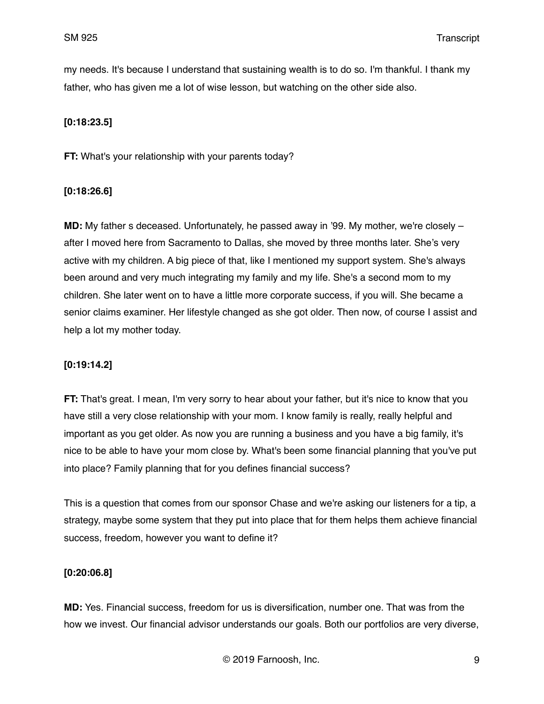my needs. It's because I understand that sustaining wealth is to do so. I'm thankful. I thank my father, who has given me a lot of wise lesson, but watching on the other side also.

## **[0:18:23.5]**

**FT:** What's your relationship with your parents today?

### **[0:18:26.6]**

**MD:** My father s deceased. Unfortunately, he passed away in '99. My mother, we're closely – after I moved here from Sacramento to Dallas, she moved by three months later. She's very active with my children. A big piece of that, like I mentioned my support system. She's always been around and very much integrating my family and my life. She's a second mom to my children. She later went on to have a little more corporate success, if you will. She became a senior claims examiner. Her lifestyle changed as she got older. Then now, of course I assist and help a lot my mother today.

## **[0:19:14.2]**

**FT:** That's great. I mean, I'm very sorry to hear about your father, but it's nice to know that you have still a very close relationship with your mom. I know family is really, really helpful and important as you get older. As now you are running a business and you have a big family, it's nice to be able to have your mom close by. What's been some financial planning that you've put into place? Family planning that for you defines financial success?

This is a question that comes from our sponsor Chase and we're asking our listeners for a tip, a strategy, maybe some system that they put into place that for them helps them achieve financial success, freedom, however you want to define it?

### **[0:20:06.8]**

**MD:** Yes. Financial success, freedom for us is diversification, number one. That was from the how we invest. Our financial advisor understands our goals. Both our portfolios are very diverse,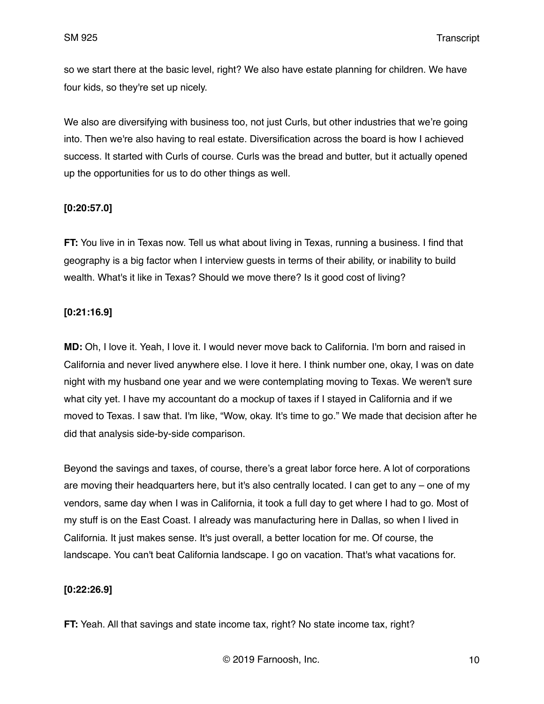so we start there at the basic level, right? We also have estate planning for children. We have four kids, so they're set up nicely.

We also are diversifying with business too, not just Curls, but other industries that we're going into. Then we're also having to real estate. Diversification across the board is how I achieved success. It started with Curls of course. Curls was the bread and butter, but it actually opened up the opportunities for us to do other things as well.

### **[0:20:57.0]**

**FT:** You live in in Texas now. Tell us what about living in Texas, running a business. I find that geography is a big factor when I interview guests in terms of their ability, or inability to build wealth. What's it like in Texas? Should we move there? Is it good cost of living?

### **[0:21:16.9]**

**MD:** Oh, I love it. Yeah, I love it. I would never move back to California. I'm born and raised in California and never lived anywhere else. I love it here. I think number one, okay, I was on date night with my husband one year and we were contemplating moving to Texas. We weren't sure what city yet. I have my accountant do a mockup of taxes if I stayed in California and if we moved to Texas. I saw that. I'm like, "Wow, okay. It's time to go." We made that decision after he did that analysis side-by-side comparison.

Beyond the savings and taxes, of course, there's a great labor force here. A lot of corporations are moving their headquarters here, but it's also centrally located. I can get to any – one of my vendors, same day when I was in California, it took a full day to get where I had to go. Most of my stuff is on the East Coast. I already was manufacturing here in Dallas, so when I lived in California. It just makes sense. It's just overall, a better location for me. Of course, the landscape. You can't beat California landscape. I go on vacation. That's what vacations for.

## **[0:22:26.9]**

**FT:** Yeah. All that savings and state income tax, right? No state income tax, right?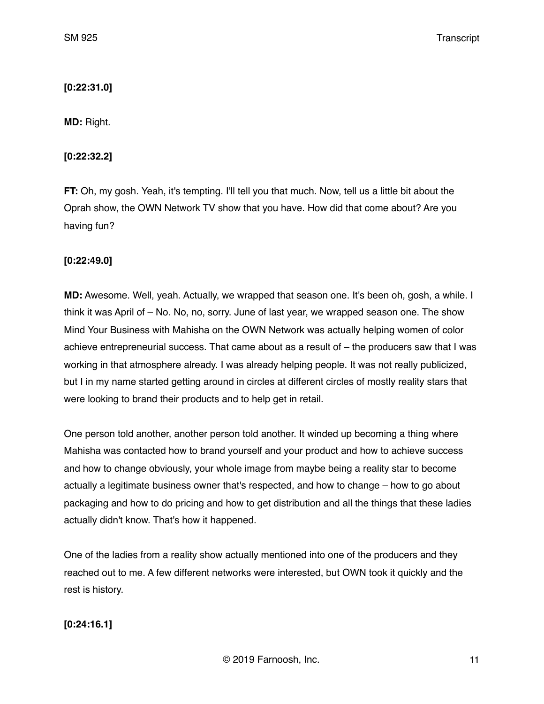## **[0:22:31.0]**

**MD:** Right.

## **[0:22:32.2]**

**FT:** Oh, my gosh. Yeah, it's tempting. I'll tell you that much. Now, tell us a little bit about the Oprah show, the OWN Network TV show that you have. How did that come about? Are you having fun?

## **[0:22:49.0]**

**MD:** Awesome. Well, yeah. Actually, we wrapped that season one. It's been oh, gosh, a while. I think it was April of – No. No, no, sorry. June of last year, we wrapped season one. The show Mind Your Business with Mahisha on the OWN Network was actually helping women of color achieve entrepreneurial success. That came about as a result of – the producers saw that I was working in that atmosphere already. I was already helping people. It was not really publicized, but I in my name started getting around in circles at different circles of mostly reality stars that were looking to brand their products and to help get in retail.

One person told another, another person told another. It winded up becoming a thing where Mahisha was contacted how to brand yourself and your product and how to achieve success and how to change obviously, your whole image from maybe being a reality star to become actually a legitimate business owner that's respected, and how to change – how to go about packaging and how to do pricing and how to get distribution and all the things that these ladies actually didn't know. That's how it happened.

One of the ladies from a reality show actually mentioned into one of the producers and they reached out to me. A few different networks were interested, but OWN took it quickly and the rest is history.

## **[0:24:16.1]**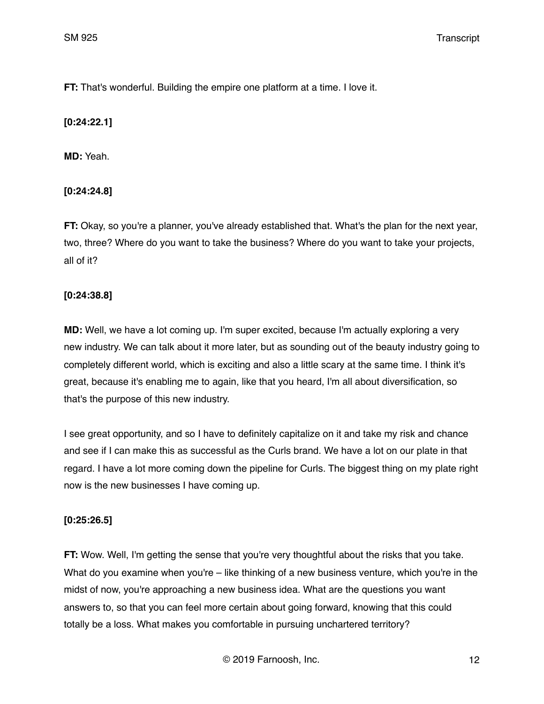**FT:** That's wonderful. Building the empire one platform at a time. I love it.

## **[0:24:22.1]**

**MD:** Yeah.

## **[0:24:24.8]**

**FT:** Okay, so you're a planner, you've already established that. What's the plan for the next year, two, three? Where do you want to take the business? Where do you want to take your projects, all of it?

## **[0:24:38.8]**

**MD:** Well, we have a lot coming up. I'm super excited, because I'm actually exploring a very new industry. We can talk about it more later, but as sounding out of the beauty industry going to completely different world, which is exciting and also a little scary at the same time. I think it's great, because it's enabling me to again, like that you heard, I'm all about diversification, so that's the purpose of this new industry.

I see great opportunity, and so I have to definitely capitalize on it and take my risk and chance and see if I can make this as successful as the Curls brand. We have a lot on our plate in that regard. I have a lot more coming down the pipeline for Curls. The biggest thing on my plate right now is the new businesses I have coming up.

## **[0:25:26.5]**

**FT:** Wow. Well, I'm getting the sense that you're very thoughtful about the risks that you take. What do you examine when you're – like thinking of a new business venture, which you're in the midst of now, you're approaching a new business idea. What are the questions you want answers to, so that you can feel more certain about going forward, knowing that this could totally be a loss. What makes you comfortable in pursuing unchartered territory?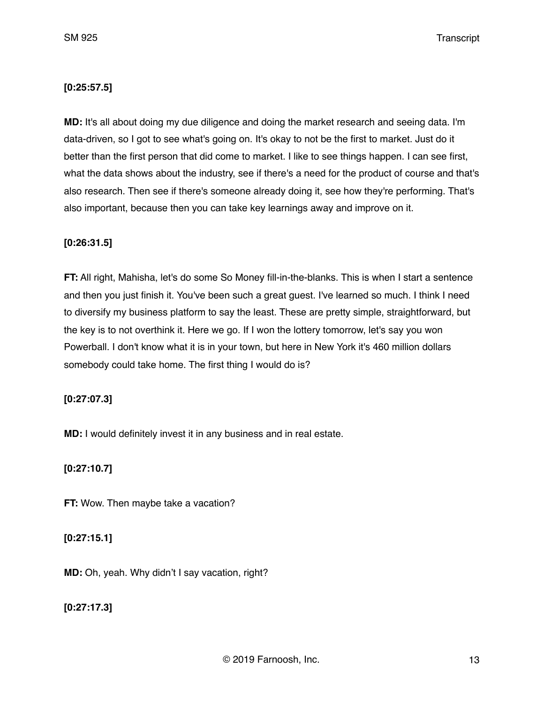### **[0:25:57.5]**

**MD:** It's all about doing my due diligence and doing the market research and seeing data. I'm data-driven, so I got to see what's going on. It's okay to not be the first to market. Just do it better than the first person that did come to market. I like to see things happen. I can see first, what the data shows about the industry, see if there's a need for the product of course and that's also research. Then see if there's someone already doing it, see how they're performing. That's also important, because then you can take key learnings away and improve on it.

### **[0:26:31.5]**

**FT:** All right, Mahisha, let's do some So Money fill-in-the-blanks. This is when I start a sentence and then you just finish it. You've been such a great guest. I've learned so much. I think I need to diversify my business platform to say the least. These are pretty simple, straightforward, but the key is to not overthink it. Here we go. If I won the lottery tomorrow, let's say you won Powerball. I don't know what it is in your town, but here in New York it's 460 million dollars somebody could take home. The first thing I would do is?

### **[0:27:07.3]**

**MD:** I would definitely invest it in any business and in real estate.

### **[0:27:10.7]**

**FT:** Wow. Then maybe take a vacation?

### **[0:27:15.1]**

**MD:** Oh, yeah. Why didn't I say vacation, right?

**[0:27:17.3]**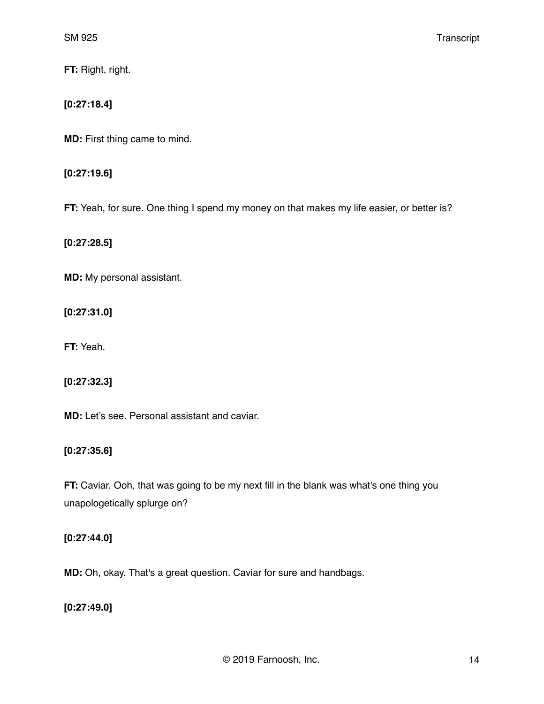**FT:** Right, right.

## **[0:27:18.4]**

**MD:** First thing came to mind.

## **[0:27:19.6]**

**FT:** Yeah, for sure. One thing I spend my money on that makes my life easier, or better is?

**[0:27:28.5]**

**MD:** My personal assistant.

**[0:27:31.0]**

**FT:** Yeah.

**[0:27:32.3]**

**MD:** Let's see. Personal assistant and caviar.

## **[0:27:35.6]**

**FT:** Caviar. Ooh, that was going to be my next fill in the blank was what's one thing you unapologetically splurge on?

## **[0:27:44.0]**

**MD:** Oh, okay. That's a great question. Caviar for sure and handbags.

# **[0:27:49.0]**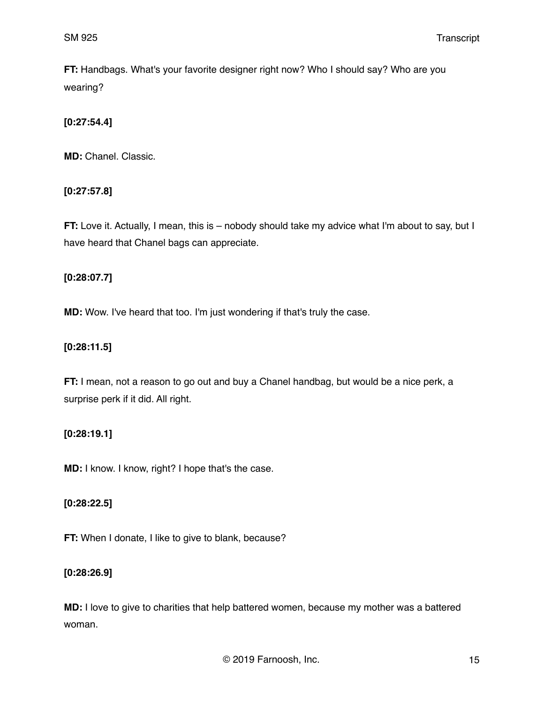**FT:** Handbags. What's your favorite designer right now? Who I should say? Who are you wearing?

## **[0:27:54.4]**

**MD:** Chanel. Classic.

## **[0:27:57.8]**

**FT:** Love it. Actually, I mean, this is – nobody should take my advice what I'm about to say, but I have heard that Chanel bags can appreciate.

## **[0:28:07.7]**

**MD:** Wow. I've heard that too. I'm just wondering if that's truly the case.

## **[0:28:11.5]**

**FT:** I mean, not a reason to go out and buy a Chanel handbag, but would be a nice perk, a surprise perk if it did. All right.

## **[0:28:19.1]**

**MD:** I know. I know, right? I hope that's the case.

## **[0:28:22.5]**

**FT:** When I donate, I like to give to blank, because?

## **[0:28:26.9]**

**MD:** I love to give to charities that help battered women, because my mother was a battered woman.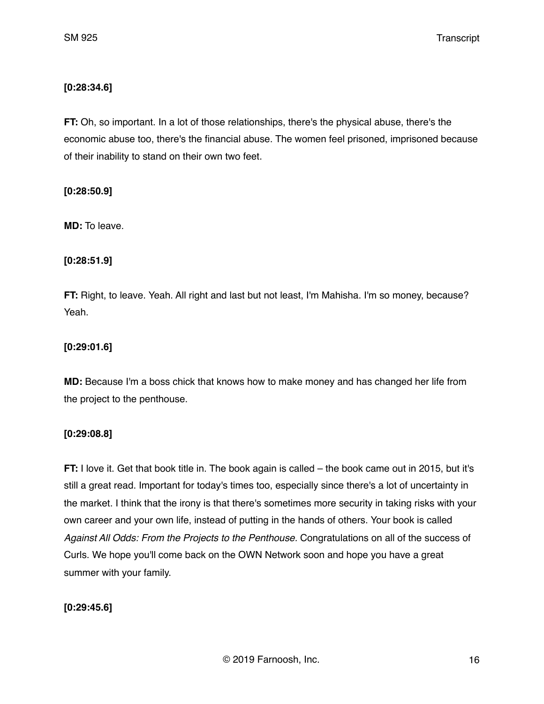### **[0:28:34.6]**

**FT:** Oh, so important. In a lot of those relationships, there's the physical abuse, there's the economic abuse too, there's the financial abuse. The women feel prisoned, imprisoned because of their inability to stand on their own two feet.

### **[0:28:50.9]**

**MD:** To leave.

### **[0:28:51.9]**

**FT:** Right, to leave. Yeah. All right and last but not least, I'm Mahisha. I'm so money, because? Yeah.

### **[0:29:01.6]**

**MD:** Because I'm a boss chick that knows how to make money and has changed her life from the project to the penthouse.

### **[0:29:08.8]**

**FT:** I love it. Get that book title in. The book again is called – the book came out in 2015, but it's still a great read. Important for today's times too, especially since there's a lot of uncertainty in the market. I think that the irony is that there's sometimes more security in taking risks with your own career and your own life, instead of putting in the hands of others. Your book is called *Against All Odds: From the Projects to the Penthouse.* Congratulations on all of the success of Curls. We hope you'll come back on the OWN Network soon and hope you have a great summer with your family.

## **[0:29:45.6]**